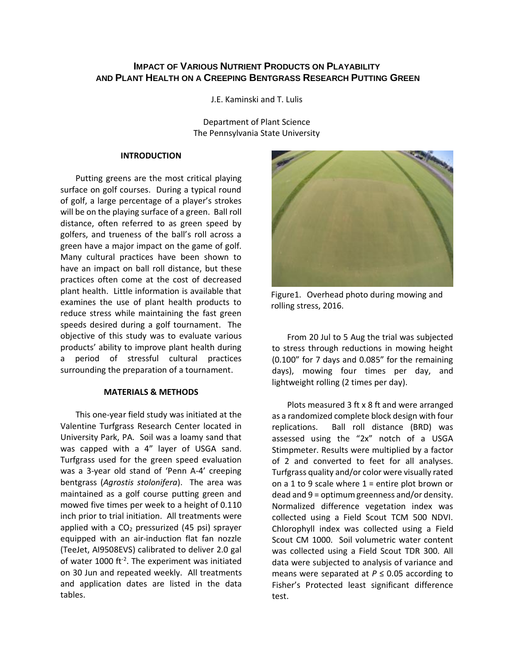# **IMPACT OF VARIOUS NUTRIENT PRODUCTS ON PLAYABILITY AND PLANT HEALTH ON A CREEPING BENTGRASS RESEARCH PUTTING GREEN**

J.E. Kaminski and T. Lulis

Department of Plant Science The Pennsylvania State University

### **INTRODUCTION**

Putting greens are the most critical playing surface on golf courses. During a typical round of golf, a large percentage of a player's strokes will be on the playing surface of a green. Ball roll distance, often referred to as green speed by golfers, and trueness of the ball's roll across a green have a major impact on the game of golf. Many cultural practices have been shown to have an impact on ball roll distance, but these practices often come at the cost of decreased plant health. Little information is available that examines the use of plant health products to reduce stress while maintaining the fast green speeds desired during a golf tournament. The objective of this study was to evaluate various products' ability to improve plant health during a period of stressful cultural practices surrounding the preparation of a tournament.

## **MATERIALS & METHODS**

This one-year field study was initiated at the Valentine Turfgrass Research Center located in University Park, PA. Soil was a loamy sand that was capped with a 4" layer of USGA sand. Turfgrass used for the green speed evaluation was a 3-year old stand of 'Penn A-4' creeping bentgrass (*Agrostis stolonifera*). The area was maintained as a golf course putting green and mowed five times per week to a height of 0.110 inch prior to trial initiation. All treatments were applied with a  $CO<sub>2</sub>$  pressurized (45 psi) sprayer equipped with an air-induction flat fan nozzle (TeeJet, AI9508EVS) calibrated to deliver 2.0 gal of water 1000 ft<sup>-2</sup>. The experiment was initiated on 30 Jun and repeated weekly. All treatments and application dates are listed in the data tables.



Figure1.Overhead photo during mowing and rolling stress, 2016.

From 20 Jul to 5 Aug the trial was subjected to stress through reductions in mowing height (0.100" for 7 days and 0.085" for the remaining days), mowing four times per day, and lightweight rolling (2 times per day).

Plots measured 3 ft x 8 ft and were arranged as a randomized complete block design with four replications. Ball roll distance (BRD) was assessed using the "2x" notch of a USGA Stimpmeter. Results were multiplied by a factor of 2 and converted to feet for all analyses. Turfgrass quality and/or color were visually rated on a 1 to 9 scale where  $1$  = entire plot brown or dead and 9 = optimum greenness and/or density. Normalized difference vegetation index was collected using a Field Scout TCM 500 NDVI. Chlorophyll index was collected using a Field Scout CM 1000. Soil volumetric water content was collected using a Field Scout TDR 300. All data were subjected to analysis of variance and means were separated at *P* ≤ 0.05 according to Fisher's Protected least significant difference test.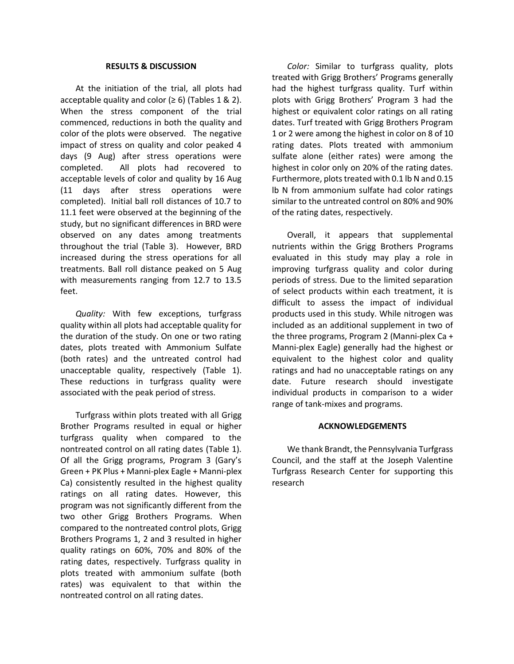#### **RESULTS & DISCUSSION**

At the initiation of the trial, all plots had acceptable quality and color  $(≥ 6)$  (Tables 1 & 2). When the stress component of the trial commenced, reductions in both the quality and color of the plots were observed. The negative impact of stress on quality and color peaked 4 days (9 Aug) after stress operations were completed. All plots had recovered to acceptable levels of color and quality by 16 Aug (11 days after stress operations were completed). Initial ball roll distances of 10.7 to 11.1 feet were observed at the beginning of the study, but no significant differences in BRD were observed on any dates among treatments throughout the trial (Table 3). However, BRD increased during the stress operations for all treatments. Ball roll distance peaked on 5 Aug with measurements ranging from 12.7 to 13.5 feet.

*Quality:* With few exceptions, turfgrass quality within all plots had acceptable quality for the duration of the study. On one or two rating dates, plots treated with Ammonium Sulfate (both rates) and the untreated control had unacceptable quality, respectively (Table 1). These reductions in turfgrass quality were associated with the peak period of stress.

Turfgrass within plots treated with all Grigg Brother Programs resulted in equal or higher turfgrass quality when compared to the nontreated control on all rating dates (Table 1). Of all the Grigg programs, Program 3 (Gary's Green + PK Plus + Manni-plex Eagle + Manni-plex Ca) consistently resulted in the highest quality ratings on all rating dates. However, this program was not significantly different from the two other Grigg Brothers Programs. When compared to the nontreated control plots, Grigg Brothers Programs 1, 2 and 3 resulted in higher quality ratings on 60%, 70% and 80% of the rating dates, respectively. Turfgrass quality in plots treated with ammonium sulfate (both rates) was equivalent to that within the nontreated control on all rating dates.

*Color:* Similar to turfgrass quality, plots treated with Grigg Brothers' Programs generally had the highest turfgrass quality. Turf within plots with Grigg Brothers' Program 3 had the highest or equivalent color ratings on all rating dates. Turf treated with Grigg Brothers Program 1 or 2 were among the highest in color on 8 of 10 rating dates. Plots treated with ammonium sulfate alone (either rates) were among the highest in color only on 20% of the rating dates. Furthermore, plots treated with 0.1 lb N and 0.15 lb N from ammonium sulfate had color ratings similar to the untreated control on 80% and 90% of the rating dates, respectively.

Overall, it appears that supplemental nutrients within the Grigg Brothers Programs evaluated in this study may play a role in improving turfgrass quality and color during periods of stress. Due to the limited separation of select products within each treatment, it is difficult to assess the impact of individual products used in this study. While nitrogen was included as an additional supplement in two of the three programs, Program 2 (Manni-plex Ca + Manni-plex Eagle) generally had the highest or equivalent to the highest color and quality ratings and had no unacceptable ratings on any date. Future research should investigate individual products in comparison to a wider range of tank-mixes and programs.

#### **ACKNOWLEDGEMENTS**

We thank Brandt, the Pennsylvania Turfgrass Council, and the staff at the Joseph Valentine Turfgrass Research Center for supporting this research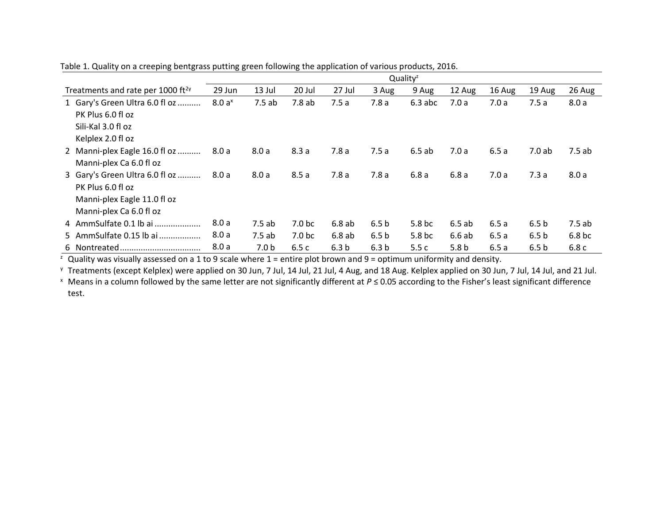|                                               |                   | Quality <sup>z</sup> |                    |                  |                  |                   |                  |        |                  |                   |
|-----------------------------------------------|-------------------|----------------------|--------------------|------------------|------------------|-------------------|------------------|--------|------------------|-------------------|
| Treatments and rate per 1000 ft <sup>2y</sup> | 29 Jun            | 13 Jul               | 20 Jul             | 27 Jul           | 3 Aug            | 9 Aug             | 12 Aug           | 16 Aug | 19 Aug           | 26 Aug            |
| 1 Gary's Green Ultra 6.0 fl oz                | 8.0a <sup>x</sup> | 7.5ab                | 7.8ab              | 7.5a             | 7.8a             | $6.3$ abc         | 7.0a             | 7.0a   | 7.5a             | 8.0a              |
| PK Plus 6.0 fl oz                             |                   |                      |                    |                  |                  |                   |                  |        |                  |                   |
| Sili-Kal 3.0 fl oz                            |                   |                      |                    |                  |                  |                   |                  |        |                  |                   |
| Kelplex 2.0 fl oz                             |                   |                      |                    |                  |                  |                   |                  |        |                  |                   |
| 2 Manni-plex Eagle 16.0 fl oz                 | 8.0a              | 8.0a                 | 8.3a               | 7.8a             | 7.5a             | 6.5ab             | 7.0 a            | 6.5a   | 7.0ab            | 7.5ab             |
| Manni-plex Ca 6.0 fl oz                       |                   |                      |                    |                  |                  |                   |                  |        |                  |                   |
| 3 Gary's Green Ultra 6.0 fl oz                | 8.0 a             | 8.0a                 | 8.5a               | 7.8a             | 7.8a             | 6.8a              | 6.8a             | 7.0a   | 7.3a             | 8.0a              |
| PK Plus 6.0 fl oz                             |                   |                      |                    |                  |                  |                   |                  |        |                  |                   |
| Manni-plex Eagle 11.0 fl oz                   |                   |                      |                    |                  |                  |                   |                  |        |                  |                   |
| Manni-plex Ca 6.0 fl oz                       |                   |                      |                    |                  |                  |                   |                  |        |                  |                   |
| 4 AmmSulfate 0.1 lb ai                        | 8.0a              | 7.5ab                | 7.0 <sub>b</sub> c | 6.8ab            | 6.5 <sub>b</sub> | 5.8 <sub>bc</sub> | 6.5ab            | 6.5a   | 6.5 <sub>b</sub> | 7.5ab             |
| 5 AmmSulfate 0.15 lb ai                       | 8.0 a             | 7.5ab                | 7.0 <sub>b</sub> c | 6.8ab            | 6.5 <sub>b</sub> | 5.8 <sub>bc</sub> | 6.6ab            | 6.5a   | 6.5 <sub>b</sub> | 6.8 <sub>bc</sub> |
|                                               | 8.0 a             | 7.0 <sub>b</sub>     | 6.5c               | 6.3 <sub>b</sub> | 6.3 <sub>b</sub> | 5.5c              | 5.8 <sub>b</sub> | 6.5a   | 6.5 <sub>b</sub> | 6.8c              |

Table 1. Quality on a creeping bentgrass putting green following the application of various products, 2016.

 $\frac{1}{2}$  Quality was visually assessed on a 1 to 9 scale where 1 = entire plot brown and 9 = optimum uniformity and density.

<sup>y</sup> Treatments (except Kelplex) were applied on 30 Jun, 7 Jul, 14 Jul, 21 Jul, 4 Aug, and 18 Aug. Kelplex applied on 30 Jun, 7 Jul, 14 Jul, and 21 Jul.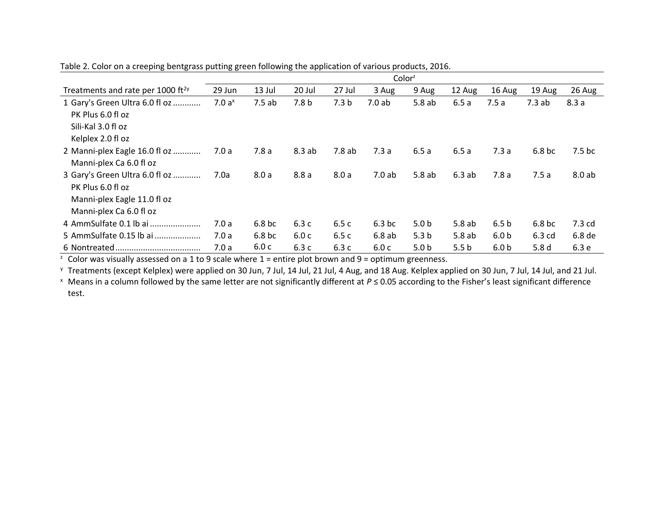|                                                                                                               | Color <sup>z</sup> |                   |                  |                  |                   |                  |                  |                  |                   |                    |
|---------------------------------------------------------------------------------------------------------------|--------------------|-------------------|------------------|------------------|-------------------|------------------|------------------|------------------|-------------------|--------------------|
| Treatments and rate per 1000 ft <sup>2y</sup>                                                                 | 29 Jun             | 13 Jul            | 20 Jul           | 27 Jul           | 3 Aug             | 9 Aug            | 12 Aug           | 16 Aug           | 19 Aug            | 26 Aug             |
| 1 Gary's Green Ultra 6.0 fl oz<br>PK Plus 6.0 fl oz<br>Sili-Kal 3.0 fl oz<br>Kelplex 2.0 fl oz                | 7.0a <sup>x</sup>  | 7.5ab             | 7.8 <sub>b</sub> | 7.3 <sub>b</sub> | 7.0 ab            | 5.8ab            | 6.5a             | 7.5a             | 7.3ab             | 8.3a               |
| 2 Manni-plex Eagle 16.0 fl oz<br>Manni-plex Ca 6.0 fl oz                                                      | 7.0 a              | 7.8a              | 8.3 ab           | 7.8 ab           | 7.3a              | 6.5a             | 6.5a             | 7.3a             | 6.8 <sub>bc</sub> | 7.5 <sub>b</sub> c |
| 3 Gary's Green Ultra 6.0 fl oz<br>PK Plus 6.0 fl oz<br>Manni-plex Eagle 11.0 fl oz<br>Manni-plex Ca 6.0 fl oz | 7.0a               | 8.0a              | 8.8a             | 8.0a             | 7.0ab             | 5.8ab            | 6.3ab            | 7.8a             | 7.5a              | 8.0ab              |
| 4 AmmSulfate 0.1 lb ai                                                                                        | 7.0a               | 6.8 <sub>bc</sub> | 6.3c             | 6.5c             | 6.3 <sub>bc</sub> | 5.0 <sub>b</sub> | 5.8ab            | 6.5 <sub>b</sub> | 6.8 bc            | 7.3 <sub>cd</sub>  |
| 5 AmmSulfate 0.15 lb ai                                                                                       | 7.0a               | 6.8 <sub>bc</sub> | 6.0c             | 6.5c             | 6.8ab             | 5.3 <sub>b</sub> | 5.8ab            | 6.0 <sub>b</sub> | 6.3 cd            | 6.8 de             |
|                                                                                                               | 7.0a               | 6.0 c             | 6.3 c            | 6.3c             | 6.0c              | 5.0 <sub>b</sub> | 5.5 <sub>b</sub> | 6.0 <sub>b</sub> | 5.8 <sub>d</sub>  | 6.3 e              |

Table 2. Color on a creeping bentgrass putting green following the application of various products, 2016.

 $\frac{1}{2}$  Color was visually assessed on a 1 to 9 scale where 1 = entire plot brown and 9 = optimum greenness.

<sup>y</sup> Treatments (except Kelplex) were applied on 30 Jun, 7 Jul, 14 Jul, 21 Jul, 4 Aug, and 18 Aug. Kelplex applied on 30 Jun, 7 Jul, 14 Jul, and 21 Jul.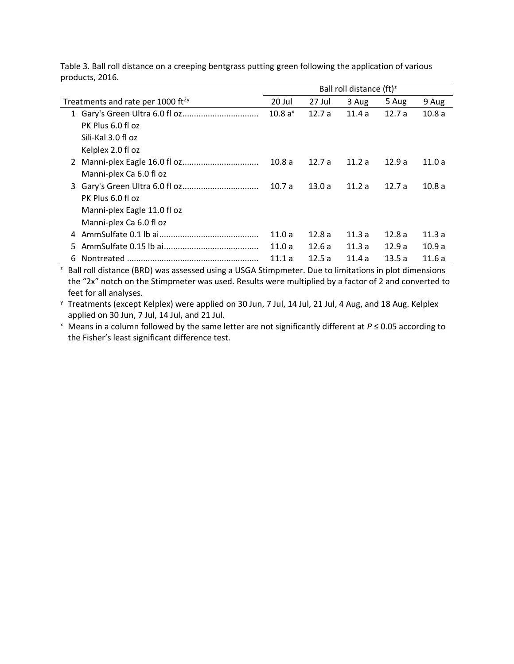|    |                                               | Ball roll distance $(ft)^z$ |        |        |       |       |
|----|-----------------------------------------------|-----------------------------|--------|--------|-------|-------|
|    | Treatments and rate per 1000 ft <sup>2y</sup> | 20 Jul                      | 27 Jul | 3 Aug  | 5 Aug | 9 Aug |
|    |                                               | 10.8 $a^x$                  | 12.7a  | 11.4a  | 12.7a | 10.8a |
|    | PK Plus 6.0 fl oz                             |                             |        |        |       |       |
|    | Sili-Kal 3.0 fl oz                            |                             |        |        |       |       |
|    | Kelplex 2.0 fl oz                             |                             |        |        |       |       |
|    |                                               | 10.8 a                      | 12.7a  | 11.2a  | 12.9a | 11.0a |
|    | Manni-plex Ca 6.0 fl oz                       |                             |        |        |       |       |
|    |                                               | 10.7a                       | 13.0a  | 11.2 a | 12.7a | 10.8a |
|    | PK Plus 6.0 fl oz                             |                             |        |        |       |       |
|    | Manni-plex Eagle 11.0 fl oz                   |                             |        |        |       |       |
|    | Manni-plex Ca 6.0 fl oz                       |                             |        |        |       |       |
| 4  |                                               | 11.0a                       | 12.8a  | 11.3a  | 12.8a | 11.3a |
| 5. |                                               | 11.0a                       | 12.6a  | 11.3a  | 12.9a | 10.9a |
| 6  |                                               | 11.1 a                      | 12.5a  | 11.4a  | 13.5a | 11.6a |

Table 3. Ball roll distance on a creeping bentgrass putting green following the application of various products, 2016.

<sup>2</sup> Ball roll distance (BRD) was assessed using a USGA Stimpmeter. Due to limitations in plot dimensions the "2x" notch on the Stimpmeter was used. Results were multiplied by a factor of 2 and converted to feet for all analyses.

<sup>y</sup> Treatments (except Kelplex) were applied on 30 Jun, 7 Jul, 14 Jul, 21 Jul, 4 Aug, and 18 Aug. Kelplex applied on 30 Jun, 7 Jul, 14 Jul, and 21 Jul.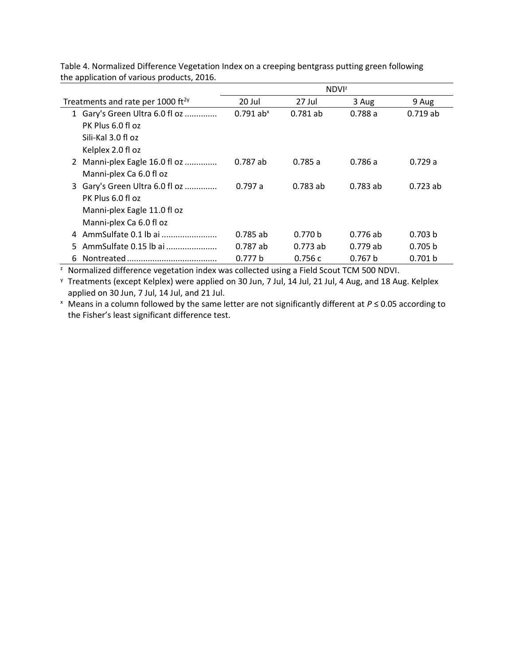|                                               | <b>NDVI</b> <sup>z</sup> |                    |            |            |  |  |
|-----------------------------------------------|--------------------------|--------------------|------------|------------|--|--|
| Treatments and rate per 1000 ft <sup>2y</sup> | 20 Jul                   | 27 Jul             | 3 Aug      | 9 Aug      |  |  |
| 1 Gary's Green Ultra 6.0 fl oz                | $0.791$ ab <sup>x</sup>  | $0.781$ ab         | 0.788a     | $0.719$ ab |  |  |
| PK Plus 6.0 fl oz                             |                          |                    |            |            |  |  |
| Sili-Kal 3.0 fl oz                            |                          |                    |            |            |  |  |
| Kelplex 2.0 fl oz                             |                          |                    |            |            |  |  |
| 2 Manni-plex Eagle 16.0 fl oz                 | $0.787$ ab               | 0.785a             | 0.786 a    | 0.729a     |  |  |
| Manni-plex Ca 6.0 fl oz                       |                          |                    |            |            |  |  |
| 3 Gary's Green Ultra 6.0 fl oz                | 0.797a                   | $0.783$ ab         | $0.783$ ab | $0.723$ ab |  |  |
| PK Plus 6.0 fl oz                             |                          |                    |            |            |  |  |
| Manni-plex Eagle 11.0 fl oz                   |                          |                    |            |            |  |  |
| Manni-plex Ca 6.0 fl oz                       |                          |                    |            |            |  |  |
|                                               | $0.785$ ab               | 0.770 <sub>b</sub> | 0.776ab    | 0.703 b    |  |  |
| AmmSulfate 0.15 lb ai<br>5.                   | $0.787$ ab               | $0.773$ ab         | $0.779$ ab | 0.705 b    |  |  |
| 6                                             | 0.777 b                  | 0.756c             | 0.767 b    | 0.701 b    |  |  |

Table 4. Normalized Difference Vegetation Index on a creeping bentgrass putting green following the application of various products, 2016.

<sup>2</sup> Normalized difference vegetation index was collected using a Field Scout TCM 500 NDVI.

<sup>y</sup> Treatments (except Kelplex) were applied on 30 Jun, 7 Jul, 14 Jul, 21 Jul, 4 Aug, and 18 Aug. Kelplex applied on 30 Jun, 7 Jul, 14 Jul, and 21 Jul.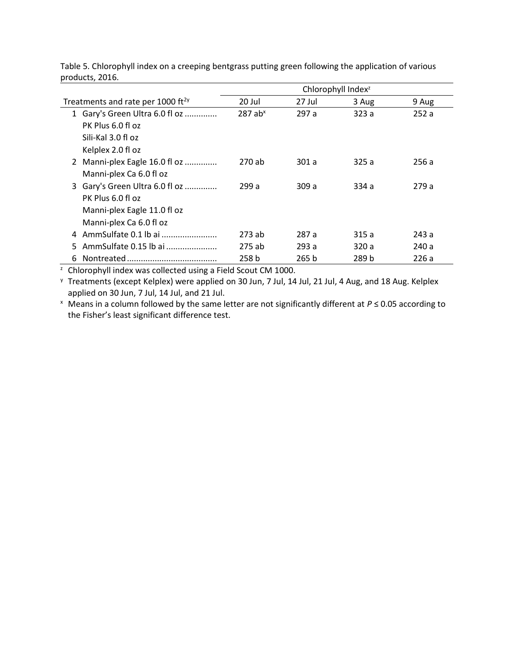|                                               | Chlorophyll Index <sup>2</sup> |        |       |       |  |  |  |
|-----------------------------------------------|--------------------------------|--------|-------|-------|--|--|--|
| Treatments and rate per 1000 ft <sup>2y</sup> | 20 Jul                         | 27 Jul | 3 Aug | 9 Aug |  |  |  |
| 1 Gary's Green Ultra 6.0 fl oz                | $287$ ab <sup>x</sup>          | 297a   | 323a  | 252a  |  |  |  |
| PK Plus 6.0 fl oz                             |                                |        |       |       |  |  |  |
| Sili-Kal 3.0 fl oz                            |                                |        |       |       |  |  |  |
| Kelplex 2.0 fl oz                             |                                |        |       |       |  |  |  |
| 2 Manni-plex Eagle 16.0 fl oz                 | 270 ab                         | 301 a  | 325 a | 256 a |  |  |  |
| Manni-plex Ca 6.0 fl oz                       |                                |        |       |       |  |  |  |
| 3 Gary's Green Ultra 6.0 fl oz                | 299 a                          | 309 a  | 334 a | 279 a |  |  |  |
| PK Plus 6.0 fl oz                             |                                |        |       |       |  |  |  |
| Manni-plex Eagle 11.0 fl oz                   |                                |        |       |       |  |  |  |
| Manni-plex Ca 6.0 fl oz                       |                                |        |       |       |  |  |  |
| 4 AmmSulfate 0.1 lb ai                        | 273 ab                         | 287 a  | 315 a | 243 a |  |  |  |
| AmmSulfate 0.15 lb ai<br>5.                   | 275 ab                         | 293 a  | 320 a | 240 a |  |  |  |
| 6                                             | 258 b                          | 265 b  | 289 b | 226a  |  |  |  |

Table 5. Chlorophyll index on a creeping bentgrass putting green following the application of various products, 2016.

<sup>2</sup> Chlorophyll index was collected using a Field Scout CM 1000.

<sup>y</sup> Treatments (except Kelplex) were applied on 30 Jun, 7 Jul, 14 Jul, 21 Jul, 4 Aug, and 18 Aug. Kelplex applied on 30 Jun, 7 Jul, 14 Jul, and 21 Jul.